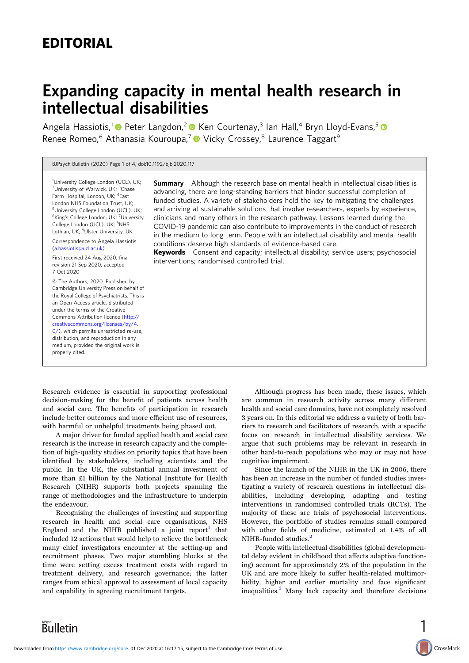## EDITORIAL

# Expanding capacity in mental health research in intellectual disabilities

Angela Hassiotis,<sup>1</sup> Peter Langdon,<sup>2</sup> Ren Courtenay,<sup>3</sup> Ian Hall,<sup>4</sup> Bryn Lloyd-Evans,<sup>5</sup> P Renee Romeo,<sup>6</sup> Athanasia Kouroupa,<sup>7</sup> Vicky Crossey,<sup>8</sup> Laurence Taggart<sup>9</sup>

#### BJPsych Bulletin (2020) Page 1 of 4, doi:10.1192/bjb.2020.117

<sup>1</sup>University College London (UCL), UK; <sup>2</sup>University of Warwick, UK; <sup>3</sup>Chase Farm Hospital, London, UK; <sup>4</sup>East London NHS Foundation Trust, UK; <sup>5</sup>University College London (UCL), UK; <sup>6</sup>King's College London, UK; <sup>7</sup>University College London (UCL), UK; <sup>8</sup>NHS Lothian, UK; <sup>9</sup>Ulster University, UK

Correspondence to Angela Hassiotis [\(a.hassiotis@ucl.ac.uk](mailto:�a�.�hassiotis@ucl.ac.uk))

First received 24 Aug 2020, final revision 21 Sep 2020, accepted 7 Oct 2020

© The Authors, 2020. Published by Cambridge University Press on behalf of the Royal College of Psychiatrists. This is an Open Access article, distributed under the terms of the Creative Commons Attribution licence [\(http://](http://creativecommons.org/licenses/by/4.0/) [creativecommons.org/licenses/by/4.](http://creativecommons.org/licenses/by/4.0/) [0/](http://creativecommons.org/licenses/by/4.0/)), which permits unrestricted re-use, distribution, and reproduction in any medium, provided the original work is properly cited.

**Summary** Although the research base on mental health in intellectual disabilities is advancing, there are long-standing barriers that hinder successful completion of funded studies. A variety of stakeholders hold the key to mitigating the challenges and arriving at sustainable solutions that involve researchers, experts by experience, clinicians and many others in the research pathway. Lessons learned during the COVID-19 pandemic can also contribute to improvements in the conduct of research in the medium to long term. People with an intellectual disability and mental health conditions deserve high standards of evidence-based care.

Keywords Consent and capacity; intellectual disability; service users; psychosocial interventions; randomised controlled trial.

Research evidence is essential in supporting professional decision-making for the benefit of patients across health and social care. The benefits of participation in research include better outcomes and more efficient use of resources, with harmful or unhelpful treatments being phased out.

A major driver for funded applied health and social care research is the increase in research capacity and the completion of high-quality studies on priority topics that have been identified by stakeholders, including scientists and the public. In the UK, the substantial annual investment of more than £1 billion by the National Institute for Health Research (NIHR) supports both projects spanning the range of methodologies and the infrastructure to underpin the endeavour.

Recognising the challenges of investing and supporting research in health and social care organisations, NHS England and the NIHR published a joint report<sup>[1](#page-3-0)</sup> that included 12 actions that would help to relieve the bottleneck many chief investigators encounter at the setting-up and recruitment phases. Two major stumbling blocks at the time were setting excess treatment costs with regard to treatment delivery, and research governance; the latter ranges from ethical approval to assessment of local capacity and capability in agreeing recruitment targets.

Although progress has been made, these issues, which are common in research activity across many different health and social care domains, have not completely resolved 3 years on. In this editorial we address a variety of both barriers to research and facilitators of research, with a specific focus on research in intellectual disability services. We argue that such problems may be relevant in research in other hard-to-reach populations who may or may not have cognitive impairment.

Since the launch of the NIHR in the UK in 2006, there has been an increase in the number of funded studies investigating a variety of research questions in intellectual disabilities, including developing, adapting and testing interventions in randomised controlled trials (RCTs). The majority of these are trials of psychosocial interventions. However, the portfolio of studies remains small compared with other fields of medicine, estimated at 1.4% of all NIHR-funded studies.<sup>[2](#page-3-0)</sup>

People with intellectual disabilities (global developmental delay evident in childhood that affects adaptive functioning) account for approximately 2% of the population in the UK and are more likely to suffer health-related multimorbidity, higher and earlier mortality and face significant inequalities.[3](#page-3-0) Many lack capacity and therefore decisions

1

CrossMark

**Bulletin**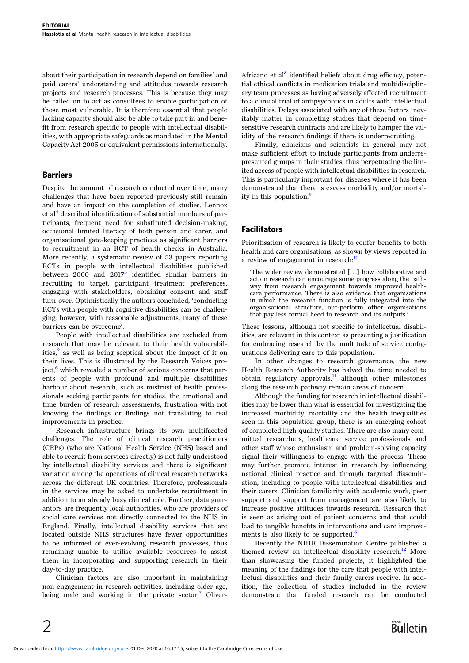about their participation in research depend on families' and paid carers' understanding and attitudes towards research projects and research processes. This is because they may be called on to act as consultees to enable participation of those most vulnerable. It is therefore essential that people lacking capacity should also be able to take part in and benefit from research specific to people with intellectual disabilities, with appropriate safeguards as mandated in the Mental Capacity Act 2005 or equivalent permissions internationally.

#### Barriers

Despite the amount of research conducted over time, many challenges that have been reported previously still remain and have an impact on the completion of studies. Lennox et al<sup>[4](#page-3-0)</sup> described identification of substantial numbers of participants, frequent need for substituted decision-making, occasional limited literacy of both person and carer, and organisational gate-keeping practices as significant barriers to recruitment in an RCT of health checks in Australia. More recently, a systematic review of 53 papers reporting RCTs in people with intellectual disabilities published between  $2000$  and  $2017<sup>5</sup>$  $2017<sup>5</sup>$  $2017<sup>5</sup>$  identified similar barriers in recruiting to target, participant treatment preferences, engaging with stakeholders, obtaining consent and staff turn-over. Optimistically the authors concluded, 'conducting RCTs with people with cognitive disabilities can be challenging, however, with reasonable adjustments, many of these barriers can be overcome'.

People with intellectual disabilities are excluded from research that may be relevant to their health vulnerabilities, $^2$  as well as being sceptical about the impact of it on their lives. This is illustrated by the Research Voices project, $6$  which revealed a number of serious concerns that parents of people with profound and multiple disabilities harbour about research, such as mistrust of health professionals seeking participants for studies, the emotional and time burden of research assessments, frustration with not knowing the findings or findings not translating to real improvements in practice.

Research infrastructure brings its own multifaceted challenges. The role of clinical research practitioners (CRPs) (who are National Health Service (NHS) based and able to recruit from services directly) is not fully understood by intellectual disability services and there is significant variation among the operations of clinical research networks across the different UK countries. Therefore, professionals in the services may be asked to undertake recruitment in addition to an already busy clinical role. Further, data guarantors are frequently local authorities, who are providers of social care services not directly connected to the NHS in England. Finally, intellectual disability services that are located outside NHS structures have fewer opportunities to be informed of ever-evolving research processes, thus remaining unable to utilise available resources to assist them in incorporating and supporting research in their day-to-day practice.

Clinician factors are also important in maintaining non-engagement in research activities, including older age, being male and working in the private sector.<sup>[7](#page-3-0)</sup> OliverAfricano et al<sup>[8](#page-3-0)</sup> identified beliefs about drug efficacy, potential ethical conflicts in medication trials and multidisciplinary team processes as having adversely affected recruitment to a clinical trial of antipsychotics in adults with intellectual disabilities. Delays associated with any of these factors inevitably matter in completing studies that depend on timesensitive research contracts and are likely to hamper the validity of the research findings if there is underrecruiting.

Finally, clinicians and scientists in general may not make sufficient effort to include participants from underrepresented groups in their studies, thus perpetuating the limited access of people with intellectual disabilities in research. This is particularly important for diseases where it has been demonstrated that there is excess morbidity and/or mortal-ity in this population.<sup>[9](#page-3-0)</sup>

### Facilitators

Prioritisation of research is likely to confer benefits to both health and care organisations, as shown by views reported in a review of engagement in research:<sup>[10](#page-3-0)</sup>

'The wider review demonstrated [...] how collaborative and action research can encourage some progress along the pathway from research engagement towards improved healthcare performance. There is also evidence that organisations in which the research function is fully integrated into the organisational structure, out-perform other organisations that pay less formal heed to research and its outputs.'

These lessons, although not specific to intellectual disabilities, are relevant in this context as presenting a justification for embracing research by the multitude of service configurations delivering care to this population.

In other changes to research governance, the new Health Research Authority has halved the time needed to obtain regulatory approvals, $\frac{11}{11}$  $\frac{11}{11}$  $\frac{11}{11}$  although other milestones along the research pathway remain areas of concern.

Although the funding for research in intellectual disabilities may be lower than what is essential for investigating the increased morbidity, mortality and the health inequalities seen in this population group, there is an emerging cohort of completed high-quality studies. There are also many committed researchers, healthcare service professionals and other staff whose enthusiasm and problem-solving capacity signal their willingness to engage with the process. These may further promote interest in research by influencing national clinical practice and through targeted dissemination, including to people with intellectual disabilities and their carers. Clinician familiarity with academic work, peer support and support from management are also likely to increase positive attitudes towards research. Research that is seen as arising out of patient concerns and that could lead to tangible benefits in interventions and care improve-ments is also likely to be supported.<sup>[6](#page-3-0)</sup>

Recently the NIHR Dissemination Centre published a themed review on intellectual disability research.<sup>12</sup> More than showcasing the funded projects, it highlighted the meaning of the findings for the care that people with intellectual disabilities and their family carers receive. In addition, the collection of studies included in the review demonstrate that funded research can be conducted

 $\mathcal{P}$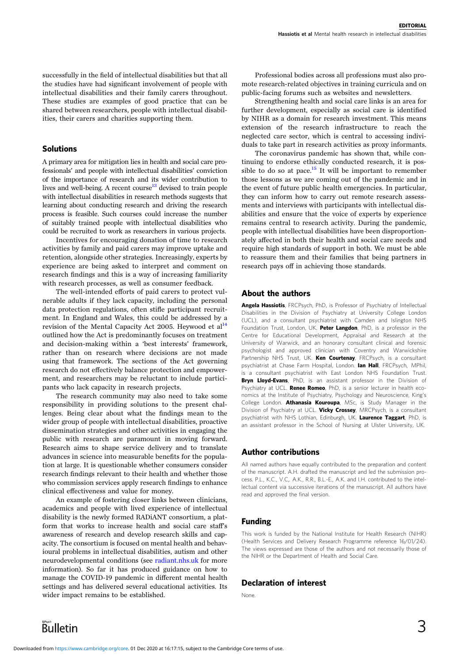successfully in the field of intellectual disabilities but that all the studies have had significant involvement of people with intellectual disabilities and their family carers throughout. These studies are examples of good practice that can be shared between researchers, people with intellectual disabilities, their carers and charities supporting them.

#### Solutions

A primary area for mitigation lies in health and social care professionals' and people with intellectual disabilities' conviction of the importance of research and its wider contribution to lives and well-being. A recent course  $13$  devised to train people with intellectual disabilities in research methods suggests that learning about conducting research and driving the research process is feasible. Such courses could increase the number of suitably trained people with intellectual disabilities who could be recruited to work as researchers in various projects.

Incentives for encouraging donation of time to research activities by family and paid carers may improve uptake and retention, alongside other strategies. Increasingly, experts by experience are being asked to interpret and comment on research findings and this is a way of increasing familiarity with research processes, as well as consumer feedback.

The well-intended efforts of paid carers to protect vulnerable adults if they lack capacity, including the personal data protection regulations, often stifle participant recruitment. In England and Wales, this could be addressed by a revision of the Mental Capacity Act 2005. Heywood et al<sup>[14](#page-3-0)</sup> outlined how the Act is predominantly focuses on treatment and decision-making within a 'best interests' framework, rather than on research where decisions are not made using that framework. The sections of the Act governing research do not effectively balance protection and empowerment, and researchers may be reluctant to include participants who lack capacity in research projects.

The research community may also need to take some responsibility in providing solutions to the present challenges. Being clear about what the findings mean to the wider group of people with intellectual disabilities, proactive dissemination strategies and other activities in engaging the public with research are paramount in moving forward. Research aims to shape service delivery and to translate advances in science into measurable benefits for the population at large. It is questionable whether consumers consider research findings relevant to their health and whether those who commission services apply research findings to enhance clinical effectiveness and value for money.

An example of fostering closer links between clinicians, academics and people with lived experience of intellectual disability is the newly formed RADiANT consortium, a platform that works to increase health and social care staff's awareness of research and develop research skills and capacity. The consortium is focused on mental health and behavioural problems in intellectual disabilities, autism and other neurodevelopmental conditions (see <radiant.nhs.uk> for more information). So far it has produced guidance on how to manage the COVID-19 pandemic in different mental health settings and has delivered several educational activities. Its wider impact remains to be established.

Professional bodies across all professions must also promote research-related objectives in training curricula and on public-facing forums such as websites and newsletters.

Strengthening health and social care links is an area for further development, especially as social care is identified by NIHR as a domain for research investment. This means extension of the research infrastructure to reach the neglected care sector, which is central to accessing individuals to take part in research activities as proxy informants.

The coronavirus pandemic has shown that, while continuing to endorse ethically conducted research, it is pos-sible to do so at pace.<sup>[15](#page-3-0)</sup> It will be important to remember those lessons as we are coming out of the pandemic and in the event of future public health emergencies. In particular, they can inform how to carry out remote research assessments and interviews with participants with intellectual disabilities and ensure that the voice of experts by experience remains central to research activity. During the pandemic, people with intellectual disabilities have been disproportionately affected in both their health and social care needs and require high standards of support in both. We must be able to reassure them and their families that being partners in research pays off in achieving those standards.

#### About the authors

Angela Hassiotis, FRCPsych, PhD, is Professor of Psychiatry of Intellectual Disabilities in the Division of Psychiatry at University College London (UCL), and a consultant psychiatrist with Camden and Islington NHS Foundation Trust, London, UK. Peter Langdon, PhD, is a professor in the Centre for Educational Development, Appraisal and Research at the University of Warwick, and an honorary consultant clinical and forensic psychologist and approved clinician with Coventry and Warwickshire Partnership NHS Trust, UK. Ken Courtenay, FRCPsych, is a consultant psychiatrist at Chase Farm Hospital, London. Ian Hall, FRCPsych, MPhil, is a consultant psychiatrist with East London NHS Foundation Trust. Bryn Lloyd-Evans, PhD, is an assistant professor in the Division of Psychiatry at UCL. Renee Romeo, PhD, is a senior lecturer in health economics at the Institute of Psychiatry, Psychology and Neuroscience, King's College London. Athanasia Kouroupa, MSc, is Study Manager in the Division of Psychiatry at UCL. Vicky Crossey, MRCPsych, is a consultant psychiatrist with NHS Lothian, Edinburgh, UK. Laurence Taggart, PhD, is an assistant professor in the School of Nursing at Ulster University, UK.

#### Author contributions

All named authors have equally contributed to the preparation and content of the manuscript. A.H. drafted the manuscript and led the submission process. P.L., K.C., V.C,. A.K., R.R., B.L.-E., A.K. and I.H. contributed to the intellectual content via successive iterations of the manuscript. All authors have read and approved the final version.

#### Funding

This work is funded by the National Institute for Health Research (NIHR) (Health Services and Delivery Research Programme reference 16/01/24). The views expressed are those of the authors and not necessarily those of the NIHR or the Department of Health and Social Care.

#### Declaration of interest

None.

Bulletin